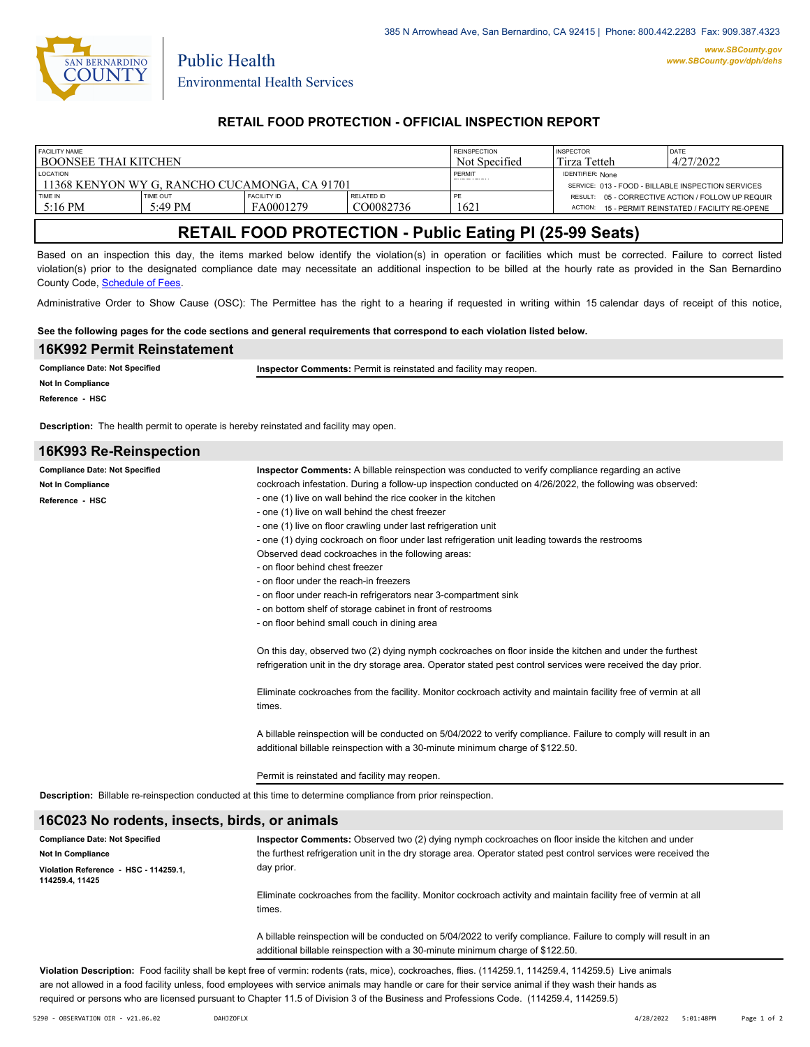

Public Health

## **RETAIL FOOD PROTECTION - OFFICIAL INSPECTION REPORT**

| <b>FACILITY NAME</b>                                             |                 |             | <b>REINSPECTION</b> | <b>INSPECTOR</b> | <b>DATE</b>                                                                   |                                                    |
|------------------------------------------------------------------|-----------------|-------------|---------------------|------------------|-------------------------------------------------------------------------------|----------------------------------------------------|
| I BOONSEE THAI KITCHEN                                           |                 |             | Not Specified       | Tirza Tetteh     | 4/27/2022                                                                     |                                                    |
| <b>LOCATION</b><br>11368 KENYON WY G. RANCHO CUCAMONGA, CA 91701 |                 |             |                     | PERMIT           | <b>IDENTIFIER: None</b><br>SERVICE: 013 - FOOD - BILLABLE INSPECTION SERVICES |                                                    |
| TIME IN                                                          | <b>TIME OUT</b> | FACILITY ID | RELATED ID          | PE               |                                                                               | RESULT: 05 - CORRECTIVE ACTION / FOLLOW UP REQUIR  |
| $5:16$ PM                                                        | 5:49 PM         | FA0001279   | CO0082736           | 1621             |                                                                               | ACTION: 15 - PERMIT REINSTATED / FACILITY RE-OPENE |

# **RETAIL FOOD PROTECTION - Public Eating Pl (25-99 Seats)**

Based on an inspection this day, the items marked below identify the violation(s) in operation or facilities which must be corrected. Failure to correct listed violation(s) prior to the designated compliance date may necessitate an additional inspection to be billed at the hourly rate as provided in the San Bernardino County Code, Schedule of Fees.

Administrative Order to Show Cause (OSC): The Permittee has the right to a hearing if requested in writing within 15 calendar days of receipt of this notice,

#### **See the following pages for the code sections and general requirements that correspond to each violation listed below.**

| 16K992 Permit Reinstatement                                                                  |                                                                   |  |  |  |
|----------------------------------------------------------------------------------------------|-------------------------------------------------------------------|--|--|--|
| <b>Compliance Date: Not Specified</b><br>Not In Compliance                                   | Inspector Comments: Permit is reinstated and facility may reopen. |  |  |  |
| Reference - HSC                                                                              |                                                                   |  |  |  |
| <b>Description:</b> The health permit to operate is hereby reinstated and facility may open. |                                                                   |  |  |  |
| 16K993 Re-Reinspection                                                                       |                                                                   |  |  |  |

| <b>Compliance Date: Not Specified</b>                                                                         | <b>Inspector Comments:</b> A billable reinspection was conducted to verify compliance regarding an active                                                                                         |  |  |  |
|---------------------------------------------------------------------------------------------------------------|---------------------------------------------------------------------------------------------------------------------------------------------------------------------------------------------------|--|--|--|
| Not In Compliance                                                                                             | cockroach infestation. During a follow-up inspection conducted on 4/26/2022, the following was observed:                                                                                          |  |  |  |
| Reference - HSC                                                                                               | - one (1) live on wall behind the rice cooker in the kitchen                                                                                                                                      |  |  |  |
|                                                                                                               | - one (1) live on wall behind the chest freezer                                                                                                                                                   |  |  |  |
|                                                                                                               | - one (1) live on floor crawling under last refrigeration unit                                                                                                                                    |  |  |  |
|                                                                                                               | - one (1) dying cockroach on floor under last refrigeration unit leading towards the restrooms                                                                                                    |  |  |  |
|                                                                                                               | Observed dead cockroaches in the following areas:                                                                                                                                                 |  |  |  |
|                                                                                                               | - on floor behind chest freezer                                                                                                                                                                   |  |  |  |
|                                                                                                               | - on floor under the reach-in freezers                                                                                                                                                            |  |  |  |
|                                                                                                               | - on floor under reach-in refrigerators near 3-compartment sink                                                                                                                                   |  |  |  |
|                                                                                                               | - on bottom shelf of storage cabinet in front of restrooms                                                                                                                                        |  |  |  |
|                                                                                                               | - on floor behind small couch in dining area                                                                                                                                                      |  |  |  |
|                                                                                                               | On this day, observed two (2) dying nymph cockroaches on floor inside the kitchen and under the furthest                                                                                          |  |  |  |
|                                                                                                               | refrigeration unit in the dry storage area. Operator stated pest control services were received the day prior.                                                                                    |  |  |  |
|                                                                                                               | Eliminate cockroaches from the facility. Monitor cockroach activity and maintain facility free of vermin at all<br>times.                                                                         |  |  |  |
|                                                                                                               | A billable reinspection will be conducted on 5/04/2022 to verify compliance. Failure to comply will result in an<br>additional billable reinspection with a 30-minute minimum charge of \$122.50. |  |  |  |
|                                                                                                               | Permit is reinstated and facility may reopen.                                                                                                                                                     |  |  |  |
| Description: Billable re-reinspection conducted at this time to determine compliance from prior reinspection. |                                                                                                                                                                                                   |  |  |  |
| 16C023 No rodents, insects, birds, or animals                                                                 |                                                                                                                                                                                                   |  |  |  |
| <b>Compliance Date: Not Specified</b>                                                                         | Inspector Comments: Observed two (2) dying nymph cockroaches on floor inside the kitchen and under                                                                                                |  |  |  |
| Not In Compliance                                                                                             | the furthest refrigeration unit in the dry storage area. Operator stated pest control services were received the                                                                                  |  |  |  |

| <b>Not In Compliance</b>                                | the furthest refrigeration unit in the dry storage area. Operator stated pest control services were received the                                                                                  |  |
|---------------------------------------------------------|---------------------------------------------------------------------------------------------------------------------------------------------------------------------------------------------------|--|
| Violation Reference - HSC - 114259.1.<br>114259.4.11425 | day prior.                                                                                                                                                                                        |  |
|                                                         | Eliminate cockroaches from the facility. Monitor cockroach activity and maintain facility free of vermin at all<br>times.                                                                         |  |
|                                                         | A billable reinspection will be conducted on 5/04/2022 to verify compliance. Failure to comply will result in an<br>additional billable reinspection with a 30-minute minimum charge of \$122.50. |  |

**Violation Description:** Food facility shall be kept free of vermin: rodents (rats, mice), cockroaches, flies. (114259.1, 114259.4, 114259.5) Live animals are not allowed in a food facility unless, food employees with service animals may handle or care for their service animal if they wash their hands as required or persons who are licensed pursuant to Chapter 11.5 of Division 3 of the Business and Professions Code. (114259.4, 114259.5)